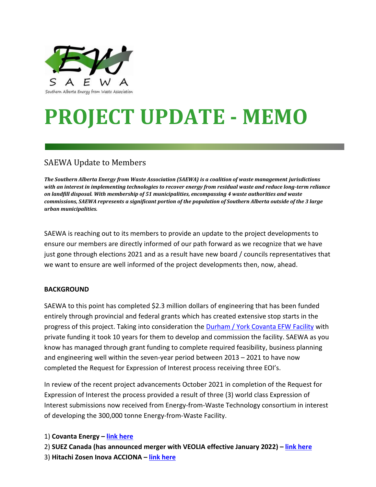

# **PROJECT UPDATE - MEMO**

# SAEWA Update to Members

*The Southern Alberta Energy from Waste Association (SAEWA) is a coalition of waste management jurisdictions with an interest in implementing technologies to recover energy from residual waste and reduce long-term reliance on landfill disposal. With membership of 51 municipalities, encompassing 4 waste authorities and waste commissions, SAEWA represents a significant portion of the population of Southern Alberta outside of the 3 large urban municipalities.* 

SAEWA is reaching out to its members to provide an update to the project developments to ensure our members are directly informed of our path forward as we recognize that we have just gone through elections 2021 and as a result have new board / councils representatives that we want to ensure are well informed of the project developments then, now, ahead.

# **BACKGROUND**

SAEWA to this point has completed \$2.3 million dollars of engineering that has been funded entirely through provincial and federal grants which has created extensive stop starts in the progress of this project. Taking into consideration the [Durham / York Covanta EFW Facility](https://www.covanta.com/where-we-are/our-facilities/durham-york) with private funding it took 10 years for them to develop and commission the facility. SAEWA as you know has managed through grant funding to complete required feasibility, business planning and engineering well within the seven-year period between 2013 – 2021 to have now completed the Request for Expression of Interest process receiving three EOI's.

In review of the recent project advancements October 2021 in completion of the Request for Expression of Interest the process provided a result of three (3) world class Expression of Interest submissions now received from Energy-from-Waste Technology consortium in interest of developing the 300,000 tonne Energy-from-Waste Facility.

1) **Covanta Energy – [link here](https://www.covanta.com/)**

- 2) **SUEZ Canada (has announced merger with VEOLIA effective January 2022) – [link here](https://www.suez.com/en)**
- 3) **Hitachi Zosen Inova ACCIONA – [link here](https://www.hz-inova.com/)**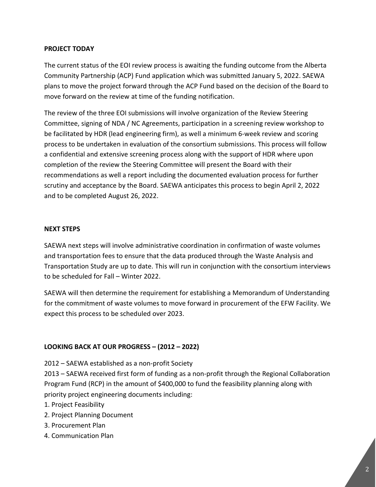#### **PROJECT TODAY**

The current status of the EOI review process is awaiting the funding outcome from the Alberta Community Partnership (ACP) Fund application which was submitted January 5, 2022. SAEWA plans to move the project forward through the ACP Fund based on the decision of the Board to move forward on the review at time of the funding notification.

The review of the three EOI submissions will involve organization of the Review Steering Committee, signing of NDA / NC Agreements, participation in a screening review workshop to be facilitated by HDR (lead engineering firm), as well a minimum 6-week review and scoring process to be undertaken in evaluation of the consortium submissions. This process will follow a confidential and extensive screening process along with the support of HDR where upon completion of the review the Steering Committee will present the Board with their recommendations as well a report including the documented evaluation process for further scrutiny and acceptance by the Board. SAEWA anticipates this process to begin April 2, 2022 and to be completed August 26, 2022.

#### **NEXT STEPS**

SAEWA next steps will involve administrative coordination in confirmation of waste volumes and transportation fees to ensure that the data produced through the Waste Analysis and Transportation Study are up to date. This will run in conjunction with the consortium interviews to be scheduled for Fall – Winter 2022.

SAEWA will then determine the requirement for establishing a Memorandum of Understanding for the commitment of waste volumes to move forward in procurement of the EFW Facility. We expect this process to be scheduled over 2023.

# **LOOKING BACK AT OUR PROGRESS – (2012 – 2022)**

2012 – SAEWA established as a non-profit Society

2013 – SAEWA received first form of funding as a non-profit through the Regional Collaboration Program Fund (RCP) in the amount of \$400,000 to fund the feasibility planning along with priority project engineering documents including:

- 1. Project Feasibility
- 2. Project Planning Document
- 3. Procurement Plan
- 4. Communication Plan